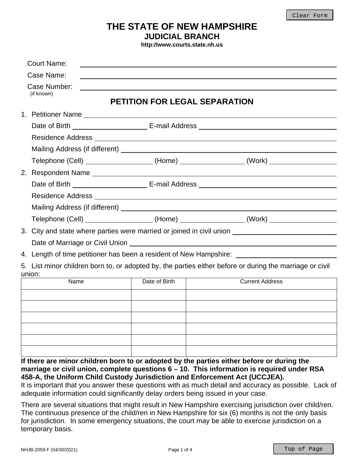## **THE STATE OF NEW HAMPSHIRE JUDICIAL BRANCH**

**http://www.courts.state.nh.us** 

| <b>Court Name:</b>                                                                                   |                                                                                                          |                               |  |  |
|------------------------------------------------------------------------------------------------------|----------------------------------------------------------------------------------------------------------|-------------------------------|--|--|
| Case Name:                                                                                           |                                                                                                          |                               |  |  |
| Case Number:<br>(if known)                                                                           |                                                                                                          | PETITION FOR LEGAL SEPARATION |  |  |
|                                                                                                      |                                                                                                          |                               |  |  |
|                                                                                                      |                                                                                                          |                               |  |  |
|                                                                                                      |                                                                                                          |                               |  |  |
|                                                                                                      |                                                                                                          |                               |  |  |
| Telephone (Cell) __________________(Home) _______________(Work) ________________                     |                                                                                                          |                               |  |  |
|                                                                                                      |                                                                                                          |                               |  |  |
|                                                                                                      |                                                                                                          |                               |  |  |
|                                                                                                      |                                                                                                          |                               |  |  |
|                                                                                                      |                                                                                                          |                               |  |  |
| Telephone (Cell) ___________________(Home) _______________(Work) _______________                     |                                                                                                          |                               |  |  |
| 3. City and state where parties were married or joined in civil union ______________________________ |                                                                                                          |                               |  |  |
| Date of Marriage or Civil Union <b>contract to the Contract of Marriage or Civil Union</b>           |                                                                                                          |                               |  |  |
| 4. Length of time petitioner has been a resident of New Hampshire: _________________________________ |                                                                                                          |                               |  |  |
| union:                                                                                               | 5. List minor children born to, or adopted by, the parties either before or during the marriage or civil |                               |  |  |
| Name                                                                                                 | Date of Birth                                                                                            | <b>Current Address</b>        |  |  |
|                                                                                                      |                                                                                                          |                               |  |  |
|                                                                                                      |                                                                                                          |                               |  |  |
|                                                                                                      |                                                                                                          |                               |  |  |
|                                                                                                      |                                                                                                          |                               |  |  |
|                                                                                                      |                                                                                                          |                               |  |  |
|                                                                                                      |                                                                                                          |                               |  |  |

**If there are minor children born to or adopted by the parties either before or during the marriage or civil union, complete questions 6 – 10. This information is required under RSA 458-A, the Uniform Child Custody Jurisdiction and Enforcement Act (UCCJEA).** 

It is important that you answer these questions with as much detail and accuracy as possible. Lack of adequate information could significantly delay orders being issued in your case.

There are several situations that might result in New Hampshire exercising jurisdiction over child/ren. The continuous presence of the child/ren in New Hampshire for six (6) months is not the only basis for jurisdiction. In some emergency situations, the court may be able to exercise jurisdiction on a temporary basis.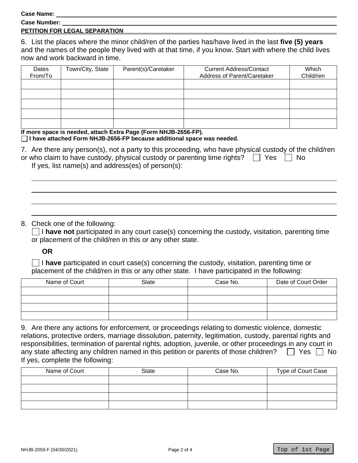**Case Name:** 

|  |  | <b>Case Number:</b> |
|--|--|---------------------|
|--|--|---------------------|

## **PETITION FOR LEGAL SEPARATION**

6. List the places where the minor child/ren of the parties has/have lived in the last **five (5) years** and the names of the people they lived with at that time, if you know. Start with where the child lives now and work backward in time.

| Dates<br>From/To | Town/City, State | Parent(s)/Caretaker | <b>Current Address/Contact</b><br>Address of Parent/Caretaker | Which<br>Child/ren |
|------------------|------------------|---------------------|---------------------------------------------------------------|--------------------|
|                  |                  |                     |                                                               |                    |
|                  |                  |                     |                                                               |                    |
|                  |                  |                     |                                                               |                    |
|                  |                  |                     |                                                               |                    |
|                  |                  |                     |                                                               |                    |

**If more space is needed, attach Extra Page (Form NHJB-2656-FP). I have attached Form NHJB-2656-FP because additional space was needed.** 

| 7. Are there any person(s), not a party to this proceeding, who have physical custody of the child/ren |  |
|--------------------------------------------------------------------------------------------------------|--|
| or who claim to have custody, physical custody or parenting time rights? $\Box$ Yes $\Box$ No          |  |
| If yes, list name(s) and address(es) of $person(s)$ :                                                  |  |

## 8. Check one of the following:

 $\Box$  I have not participated in any court case(s) concerning the custody, visitation, parenting time or placement of the child/ren in this or any other state.

**OR**

 I **have** participated in court case(s) concerning the custody, visitation, parenting time or placement of the child/ren in this or any other state. I have participated in the following:

| Name of Court | <b>State</b> | Case No. | Date of Court Order |
|---------------|--------------|----------|---------------------|
|               |              |          |                     |
|               |              |          |                     |
|               |              |          |                     |
|               |              |          |                     |

| 9. Are there any actions for enforcement, or proceedings relating to domestic violence, domestic           |
|------------------------------------------------------------------------------------------------------------|
| relations, protective orders, marriage dissolution, paternity, legitimation, custody, parental rights and  |
| responsibilities, termination of parental rights, adoption, juvenile, or other proceedings in any court in |
| any state affecting any children named in this petition or parents of those children? $\Box$ Yes $\Box$ No |
| If yes, complete the following:                                                                            |

| Name of Court | State | Case No. | Type of Court Case |
|---------------|-------|----------|--------------------|
|               |       |          |                    |
|               |       |          |                    |
|               |       |          |                    |
|               |       |          |                    |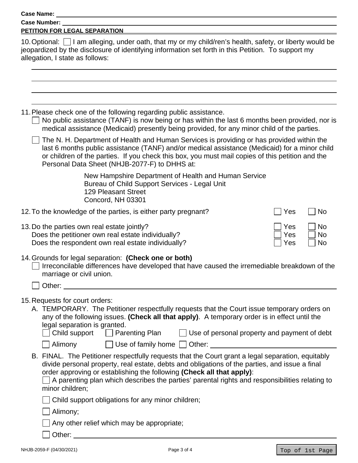| Case Name: Name and Secretary Annual Case Name: Name and Secretary Annual Case Name and Secretary Annual Case of the Annual Case of the Annual Case of the Annual Case of the Annual Case of the Annual Case of the Annual Cas                                                                                                                                                                                      |                   |                                     |  |  |
|---------------------------------------------------------------------------------------------------------------------------------------------------------------------------------------------------------------------------------------------------------------------------------------------------------------------------------------------------------------------------------------------------------------------|-------------------|-------------------------------------|--|--|
| Case Number:<br>PETITION FOR LEGAL SEPARATION                                                                                                                                                                                                                                                                                                                                                                       |                   |                                     |  |  |
| 10. Optional:       am alleging, under oath, that my or my child/ren's health, safety, or liberty would be<br>jeopardized by the disclosure of identifying information set forth in this Petition. To support my<br>allegation, I state as follows:                                                                                                                                                                 |                   |                                     |  |  |
|                                                                                                                                                                                                                                                                                                                                                                                                                     |                   |                                     |  |  |
| 11. Please check one of the following regarding public assistance.<br>No public assistance (TANF) is now being or has within the last 6 months been provided, nor is<br>medical assistance (Medicaid) presently being provided, for any minor child of the parties.                                                                                                                                                 |                   |                                     |  |  |
| The N. H. Department of Health and Human Services is providing or has provided within the<br>last 6 months public assistance (TANF) and/or medical assistance (Medicaid) for a minor child<br>or children of the parties. If you check this box, you must mail copies of this petition and the<br>Personal Data Sheet (NHJB-2077-F) to DHHS at:                                                                     |                   |                                     |  |  |
| New Hampshire Department of Health and Human Service<br>Bureau of Child Support Services - Legal Unit<br><b>129 Pleasant Street</b><br>Concord, NH 03301                                                                                                                                                                                                                                                            |                   |                                     |  |  |
| 12. To the knowledge of the parties, is either party pregnant?                                                                                                                                                                                                                                                                                                                                                      | Yes               | <b>No</b>                           |  |  |
| 13. Do the parties own real estate jointly?<br>Does the petitioner own real estate individually?<br>Does the respondent own real estate individually?                                                                                                                                                                                                                                                               | Yes<br>Yes<br>Yes | <b>No</b><br><b>No</b><br><b>No</b> |  |  |
| 14. Grounds for legal separation: (Check one or both)<br>Irreconcilable differences have developed that have caused the irremediable breakdown of the<br>marriage or civil union.<br>Other: when the contract of the contract of the contract of the contract of the contract of the contract of the contract of the contract of the contract of the contract of the contract of the contract of the contract of th |                   |                                     |  |  |
|                                                                                                                                                                                                                                                                                                                                                                                                                     |                   |                                     |  |  |
| 15. Requests for court orders:<br>A. TEMPORARY. The Petitioner respectfully requests that the Court issue temporary orders on<br>any of the following issues. (Check all that apply). A temporary order is in effect until the<br>legal separation is granted.<br>Child support <b>Child</b> Parenting Plan Use of personal property and payment of debt                                                            |                   |                                     |  |  |
| Alimony                                                                                                                                                                                                                                                                                                                                                                                                             |                   |                                     |  |  |
| B. FINAL. The Petitioner respectfully requests that the Court grant a legal separation, equitably<br>divide personal property, real estate, debts and obligations of the parties, and issue a final<br>order approving or establishing the following (Check all that apply):<br>$\Box$ A parenting plan which describes the parties' parental rights and responsibilities relating to<br>minor children;            |                   |                                     |  |  |
| Child support obligations for any minor children;                                                                                                                                                                                                                                                                                                                                                                   |                   |                                     |  |  |
| Alimony;                                                                                                                                                                                                                                                                                                                                                                                                            |                   |                                     |  |  |
| Any other relief which may be appropriate;                                                                                                                                                                                                                                                                                                                                                                          |                   |                                     |  |  |
|                                                                                                                                                                                                                                                                                                                                                                                                                     |                   |                                     |  |  |